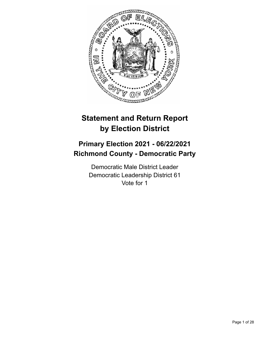

# **Statement and Return Report by Election District**

# **Primary Election 2021 - 06/22/2021 Richmond County - Democratic Party**

Democratic Male District Leader Democratic Leadership District 61 Vote for 1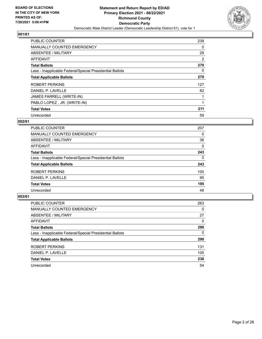

| <b>PUBLIC COUNTER</b>                                    | 239 |
|----------------------------------------------------------|-----|
| <b>MANUALLY COUNTED EMERGENCY</b>                        | 0   |
| ABSENTEE / MILITARY                                      | 29  |
| AFFIDAVIT                                                | 2   |
| <b>Total Ballots</b>                                     | 270 |
| Less - Inapplicable Federal/Special Presidential Ballots | 0   |
| <b>Total Applicable Ballots</b>                          | 270 |
| ROBERT PERKINS                                           | 127 |
| DANIEL P. LAVELLE                                        | 82  |
| JAMES FARRELL (WRITE-IN)                                 |     |
| PABLO LOPEZ, JR. (WRITE-IN)                              |     |
| <b>Total Votes</b>                                       | 211 |
| Unrecorded                                               | 59  |

## **002/61**

| PUBLIC COUNTER                                           | 207      |
|----------------------------------------------------------|----------|
| <b>MANUALLY COUNTED EMERGENCY</b>                        | $\Omega$ |
| ABSENTEE / MILITARY                                      | 36       |
| <b>AFFIDAVIT</b>                                         | 0        |
| <b>Total Ballots</b>                                     | 243      |
| Less - Inapplicable Federal/Special Presidential Ballots | $\Omega$ |
| <b>Total Applicable Ballots</b>                          | 243      |
| ROBERT PERKINS                                           | 100      |
| DANIEL P. LAVELLE                                        | 95       |
| <b>Total Votes</b>                                       | 195      |
| Unrecorded                                               | 48       |

| <b>PUBLIC COUNTER</b>                                    | 263      |
|----------------------------------------------------------|----------|
| <b>MANUALLY COUNTED EMERGENCY</b>                        | 0        |
| ABSENTEE / MILITARY                                      | 27       |
| AFFIDAVIT                                                | $\Omega$ |
| <b>Total Ballots</b>                                     | 290      |
| Less - Inapplicable Federal/Special Presidential Ballots | 0        |
| <b>Total Applicable Ballots</b>                          | 290      |
| ROBERT PERKINS                                           | 131      |
| DANIEL P. LAVELLE                                        | 105      |
| <b>Total Votes</b>                                       | 236      |
| Unrecorded                                               | 54       |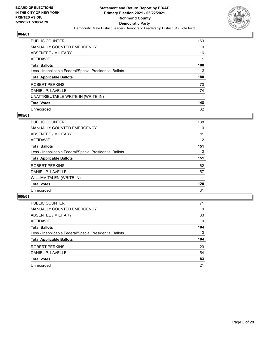

| PUBLIC COUNTER                                           | 163      |
|----------------------------------------------------------|----------|
| MANUALLY COUNTED EMERGENCY                               | $\Omega$ |
| ABSENTEE / MILITARY                                      | 16       |
| AFFIDAVIT                                                |          |
| <b>Total Ballots</b>                                     | 180      |
| Less - Inapplicable Federal/Special Presidential Ballots | 0        |
| <b>Total Applicable Ballots</b>                          | 180      |
| ROBERT PERKINS                                           | 73       |
| DANIEL P. LAVELLE                                        | 74       |
| UNATTRIBUTABLE WRITE-IN (WRITE-IN)                       |          |
| <b>Total Votes</b>                                       | 148      |
| Unrecorded                                               | 32       |

#### **005/61**

| PUBLIC COUNTER                                           | 138      |
|----------------------------------------------------------|----------|
| MANUALLY COUNTED EMERGENCY                               | 0        |
| ABSENTEE / MILITARY                                      | 11       |
| <b>AFFIDAVIT</b>                                         | 2        |
| <b>Total Ballots</b>                                     | 151      |
| Less - Inapplicable Federal/Special Presidential Ballots | $\Omega$ |
| <b>Total Applicable Ballots</b>                          | 151      |
| <b>ROBERT PERKINS</b>                                    | 62       |
| DANIEL P. LAVELLE                                        | 57       |
| WILLIAM TALEN (WRITE-IN)                                 |          |
| <b>Total Votes</b>                                       | 120      |
| Unrecorded                                               | 31       |

| <b>PUBLIC COUNTER</b>                                    | 71       |
|----------------------------------------------------------|----------|
| <b>MANUALLY COUNTED EMERGENCY</b>                        | $\Omega$ |
| ABSENTEE / MILITARY                                      | 33       |
| AFFIDAVIT                                                | $\Omega$ |
| <b>Total Ballots</b>                                     | 104      |
| Less - Inapplicable Federal/Special Presidential Ballots | 0        |
| <b>Total Applicable Ballots</b>                          | 104      |
| ROBERT PERKINS                                           | 29       |
| DANIEL P. LAVELLE                                        | 54       |
| <b>Total Votes</b>                                       | 83       |
| Unrecorded                                               | 21       |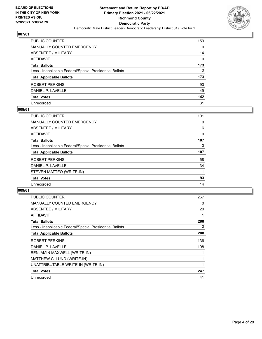

| PUBLIC COUNTER                                           | 159      |
|----------------------------------------------------------|----------|
| <b>MANUALLY COUNTED EMERGENCY</b>                        | 0        |
| <b>ABSENTEE / MILITARY</b>                               | 14       |
| <b>AFFIDAVIT</b>                                         | $\Omega$ |
| <b>Total Ballots</b>                                     | 173      |
| Less - Inapplicable Federal/Special Presidential Ballots | 0        |
| <b>Total Applicable Ballots</b>                          | 173      |
| ROBERT PERKINS                                           | 93       |
| DANIEL P. LAVELLE                                        | 49       |
| <b>Total Votes</b>                                       | 142      |
| Unrecorded                                               | 31       |

#### **008/61**

| <b>PUBLIC COUNTER</b>                                    | 101 |
|----------------------------------------------------------|-----|
| <b>MANUALLY COUNTED EMERGENCY</b>                        | 0   |
| ABSENTEE / MILITARY                                      | 6   |
| AFFIDAVIT                                                | 0   |
| <b>Total Ballots</b>                                     | 107 |
| Less - Inapplicable Federal/Special Presidential Ballots | 0   |
| <b>Total Applicable Ballots</b>                          | 107 |
| ROBERT PERKINS                                           | 58  |
| DANIEL P. LAVELLE                                        | 34  |
| STEVEN MATTEO (WRITE-IN)                                 |     |
| <b>Total Votes</b>                                       | 93  |
| Unrecorded                                               | 14  |

| <b>PUBLIC COUNTER</b>                                    | 267 |
|----------------------------------------------------------|-----|
| <b>MANUALLY COUNTED EMERGENCY</b>                        | 0   |
| ABSENTEE / MILITARY                                      | 20  |
| AFFIDAVIT                                                |     |
| <b>Total Ballots</b>                                     | 288 |
| Less - Inapplicable Federal/Special Presidential Ballots | 0   |
| <b>Total Applicable Ballots</b>                          | 288 |
| ROBERT PERKINS                                           | 136 |
| DANIEL P. LAVELLE                                        | 108 |
| BENJAMIN MAXWELL (WRITE-IN)                              |     |
| MATTHEW C. LUND (WRITE-IN)                               |     |
| UNATTRIBUTABLE WRITE-IN (WRITE-IN)                       |     |
| <b>Total Votes</b>                                       | 247 |
| Unrecorded                                               | 41  |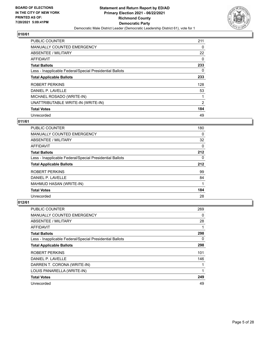

| <b>PUBLIC COUNTER</b>                                    | 211      |
|----------------------------------------------------------|----------|
| <b>MANUALLY COUNTED EMERGENCY</b>                        | 0        |
| ABSENTEE / MILITARY                                      | 22       |
| <b>AFFIDAVIT</b>                                         | $\Omega$ |
| <b>Total Ballots</b>                                     | 233      |
| Less - Inapplicable Federal/Special Presidential Ballots | 0        |
| <b>Total Applicable Ballots</b>                          | 233      |
| <b>ROBERT PERKINS</b>                                    | 128      |
| DANIEL P. LAVELLE                                        | 53       |
| MICHAEL ROSADO (WRITE-IN)                                |          |
| UNATTRIBUTABLE WRITE-IN (WRITE-IN)                       | 2        |
| <b>Total Votes</b>                                       | 184      |
| Unrecorded                                               | 49       |

## **011/61**

| PUBLIC COUNTER                                           | 180      |
|----------------------------------------------------------|----------|
| <b>MANUALLY COUNTED EMERGENCY</b>                        | 0        |
| ABSENTEE / MILITARY                                      | 32       |
| AFFIDAVIT                                                | $\Omega$ |
| <b>Total Ballots</b>                                     | 212      |
| Less - Inapplicable Federal/Special Presidential Ballots | 0        |
| <b>Total Applicable Ballots</b>                          | 212      |
| ROBERT PERKINS                                           | 99       |
| DANIEL P. LAVELLE                                        | 84       |
| MAHMUD HASAN (WRITE-IN)                                  |          |
| <b>Total Votes</b>                                       | 184      |
| Unrecorded                                               | 28       |

| <b>PUBLIC COUNTER</b>                                    | 269      |
|----------------------------------------------------------|----------|
| MANUALLY COUNTED EMERGENCY                               | 0        |
| ABSENTEE / MILITARY                                      | 28       |
| AFFIDAVIT                                                | 1        |
| <b>Total Ballots</b>                                     | 298      |
| Less - Inapplicable Federal/Special Presidential Ballots | $\Omega$ |
| <b>Total Applicable Ballots</b>                          | 298      |
| ROBERT PERKINS                                           | 101      |
| DANIEL P. LAVELLE                                        | 146      |
| DARREN T. CORONA (WRITE-IN)                              | 1        |
| LOUIS PANARELLA (WRITE-IN)                               | 1        |
| <b>Total Votes</b>                                       | 249      |
| Unrecorded                                               | 49       |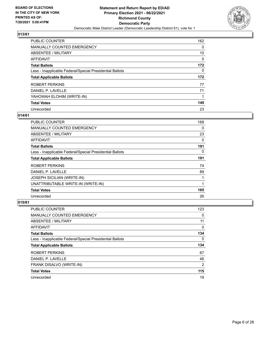

| PUBLIC COUNTER                                           | 162      |
|----------------------------------------------------------|----------|
| MANUALLY COUNTED EMERGENCY                               | $\Omega$ |
| ABSENTEE / MILITARY                                      | 10       |
| AFFIDAVIT                                                | 0        |
| <b>Total Ballots</b>                                     | 172      |
| Less - Inapplicable Federal/Special Presidential Ballots | $\Omega$ |
| <b>Total Applicable Ballots</b>                          | 172      |
| ROBERT PERKINS                                           | 77       |
| DANIEL P. LAVELLE                                        | 71       |
| YAHOWAH ELOHIM (WRITE-IN)                                |          |
| <b>Total Votes</b>                                       | 149      |
| Unrecorded                                               | 23       |

#### **014/61**

| PUBLIC COUNTER                                           | 168      |
|----------------------------------------------------------|----------|
| <b>MANUALLY COUNTED EMERGENCY</b>                        | 0        |
| ABSENTEE / MILITARY                                      | 23       |
| <b>AFFIDAVIT</b>                                         | 0        |
| <b>Total Ballots</b>                                     | 191      |
| Less - Inapplicable Federal/Special Presidential Ballots | $\Omega$ |
| <b>Total Applicable Ballots</b>                          | 191      |
| ROBERT PERKINS                                           | 74       |
| DANIEL P. LAVELLE                                        | 89       |
| <b>JOSEPH SICILIAN (WRITE-IN)</b>                        |          |
| UNATTRIBUTABLE WRITE-IN (WRITE-IN)                       | 1        |
| <b>Total Votes</b>                                       | 165      |
| Unrecorded                                               | 26       |

| <b>PUBLIC COUNTER</b>                                    | 123            |
|----------------------------------------------------------|----------------|
| <b>MANUALLY COUNTED EMERGENCY</b>                        | 0              |
| ABSENTEE / MILITARY                                      | 11             |
| AFFIDAVIT                                                | $\Omega$       |
| <b>Total Ballots</b>                                     | 134            |
| Less - Inapplicable Federal/Special Presidential Ballots | $\Omega$       |
| <b>Total Applicable Ballots</b>                          | 134            |
| ROBERT PERKINS                                           | 67             |
| DANIEL P. LAVELLE                                        | 46             |
|                                                          |                |
| FRANK DISALVO (WRITE-IN)                                 | $\overline{2}$ |
| <b>Total Votes</b>                                       | 115            |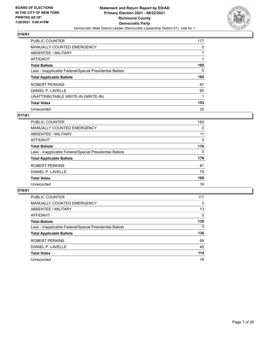

| PUBLIC COUNTER                                           | 177 |
|----------------------------------------------------------|-----|
| <b>MANUALLY COUNTED EMERGENCY</b>                        | 0   |
| ABSENTEE / MILITARY                                      | 7   |
| AFFIDAVIT                                                |     |
| <b>Total Ballots</b>                                     | 185 |
| Less - Inapplicable Federal/Special Presidential Ballots | 0   |
| <b>Total Applicable Ballots</b>                          | 185 |
|                                                          |     |
| <b>ROBERT PERKINS</b>                                    | 87  |
| DANIEL P. LAVELLE                                        | 65  |
| UNATTRIBUTABLE WRITE-IN (WRITE-IN)                       |     |
| <b>Total Votes</b>                                       | 153 |

## **017/61**

| PUBLIC COUNTER                                           | 165      |
|----------------------------------------------------------|----------|
| <b>MANUALLY COUNTED EMERGENCY</b>                        | $\Omega$ |
| ABSENTEE / MILITARY                                      | 11       |
| AFFIDAVIT                                                | $\Omega$ |
| <b>Total Ballots</b>                                     | 176      |
| Less - Inapplicable Federal/Special Presidential Ballots | $\Omega$ |
| <b>Total Applicable Ballots</b>                          | 176      |
| ROBERT PERKINS                                           | 81       |
| DANIEL P. LAVELLE                                        | 79       |
| <b>Total Votes</b>                                       | 160      |
| Unrecorded                                               | 16       |

| PUBLIC COUNTER                                           | 117          |
|----------------------------------------------------------|--------------|
| <b>MANUALLY COUNTED EMERGENCY</b>                        | 0            |
| ABSENTEE / MILITARY                                      | 13           |
| AFFIDAVIT                                                | $\Omega$     |
| <b>Total Ballots</b>                                     | 130          |
| Less - Inapplicable Federal/Special Presidential Ballots | $\mathbf{0}$ |
| <b>Total Applicable Ballots</b>                          | 130          |
| ROBERT PERKINS                                           | 69           |
| DANIEL P. LAVELLE                                        | 45           |
| <b>Total Votes</b>                                       | 114          |
| Unrecorded                                               | 16           |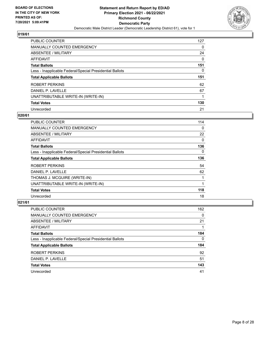

| PUBLIC COUNTER                                           | 127 |
|----------------------------------------------------------|-----|
| <b>MANUALLY COUNTED EMERGENCY</b>                        | 0   |
| ABSENTEE / MILITARY                                      | 24  |
| AFFIDAVIT                                                | 0   |
| <b>Total Ballots</b>                                     | 151 |
| Less - Inapplicable Federal/Special Presidential Ballots | 0   |
| <b>Total Applicable Ballots</b>                          | 151 |
|                                                          |     |
| <b>ROBERT PERKINS</b>                                    | 62  |
| DANIEL P. LAVELLE                                        | 67  |
| UNATTRIBUTABLE WRITE-IN (WRITE-IN)                       |     |
| <b>Total Votes</b>                                       | 130 |

#### **020/61**

| <b>PUBLIC COUNTER</b>                                    | 114      |
|----------------------------------------------------------|----------|
| <b>MANUALLY COUNTED EMERGENCY</b>                        | 0        |
| ABSENTEE / MILITARY                                      | 22       |
| AFFIDAVIT                                                | 0        |
| <b>Total Ballots</b>                                     | 136      |
| Less - Inapplicable Federal/Special Presidential Ballots | $\Omega$ |
| <b>Total Applicable Ballots</b>                          | 136      |
| <b>ROBERT PERKINS</b>                                    | 54       |
| DANIEL P. LAVELLE                                        | 62       |
| THOMAS J. MCGUIRE (WRITE-IN)                             |          |
| UNATTRIBUTABLE WRITE-IN (WRITE-IN)                       | 1        |
| <b>Total Votes</b>                                       | 118      |
| Unrecorded                                               | 18       |

| PUBLIC COUNTER                                           | 162      |
|----------------------------------------------------------|----------|
| MANUALLY COUNTED EMERGENCY                               | 0        |
| ABSENTEE / MILITARY                                      | 21       |
| AFFIDAVIT                                                |          |
| <b>Total Ballots</b>                                     | 184      |
| Less - Inapplicable Federal/Special Presidential Ballots | $\Omega$ |
| <b>Total Applicable Ballots</b>                          | 184      |
| ROBERT PERKINS                                           | 92       |
| DANIEL P. LAVELLE                                        | 51       |
| <b>Total Votes</b>                                       | 143      |
| Unrecorded                                               | 41       |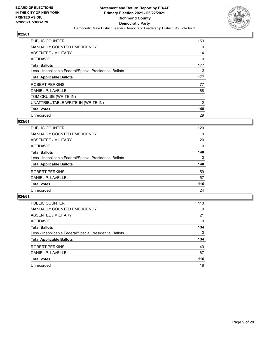

| <b>PUBLIC COUNTER</b>                                    | 163 |
|----------------------------------------------------------|-----|
| MANUALLY COUNTED EMERGENCY                               | 0   |
| ABSENTEE / MILITARY                                      | 14  |
| AFFIDAVIT                                                | 0   |
| <b>Total Ballots</b>                                     | 177 |
| Less - Inapplicable Federal/Special Presidential Ballots | 0   |
| <b>Total Applicable Ballots</b>                          | 177 |
| ROBERT PERKINS                                           | 77  |
| DANIEL P. LAVELLE                                        | 68  |
| TOM CRUISE (WRITE-IN)                                    |     |
| UNATTRIBUTABLE WRITE-IN (WRITE-IN)                       | 2   |
| <b>Total Votes</b>                                       | 148 |
| Unrecorded                                               | 29  |

# **023/61**

| <b>PUBLIC COUNTER</b>                                    | 120      |
|----------------------------------------------------------|----------|
| <b>MANUALLY COUNTED EMERGENCY</b>                        | 0        |
| ABSENTEE / MILITARY                                      | 20       |
| <b>AFFIDAVIT</b>                                         | 0        |
| <b>Total Ballots</b>                                     | 140      |
| Less - Inapplicable Federal/Special Presidential Ballots | $\Omega$ |
| <b>Total Applicable Ballots</b>                          | 140      |
| <b>ROBERT PERKINS</b>                                    | 59       |
| DANIEL P. LAVELLE                                        | 57       |
| <b>Total Votes</b>                                       | 116      |
| Unrecorded                                               | 24       |

| PUBLIC COUNTER                                           | 113      |
|----------------------------------------------------------|----------|
| <b>MANUALLY COUNTED EMERGENCY</b>                        | $\Omega$ |
| ABSENTEE / MILITARY                                      | 21       |
| AFFIDAVIT                                                | $\Omega$ |
| <b>Total Ballots</b>                                     | 134      |
| Less - Inapplicable Federal/Special Presidential Ballots | 0        |
| <b>Total Applicable Ballots</b>                          | 134      |
| ROBERT PERKINS                                           | 49       |
| DANIEL P. LAVELLE                                        | 67       |
| <b>Total Votes</b>                                       | 116      |
| Unrecorded                                               | 18       |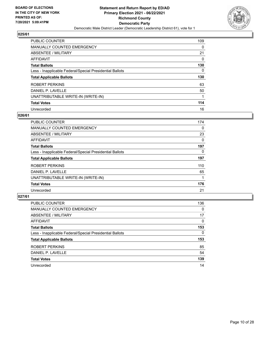

| PUBLIC COUNTER                                           | 109      |
|----------------------------------------------------------|----------|
| MANUALLY COUNTED EMERGENCY                               | 0        |
| ABSENTEE / MILITARY                                      | 21       |
| AFFIDAVIT                                                | $\Omega$ |
| <b>Total Ballots</b>                                     | 130      |
| Less - Inapplicable Federal/Special Presidential Ballots | 0        |
| <b>Total Applicable Ballots</b>                          | 130      |
| ROBERT PERKINS                                           | 63       |
| DANIEL P. LAVELLE                                        | 50       |
| UNATTRIBUTABLE WRITE-IN (WRITE-IN)                       |          |
| <b>Total Votes</b>                                       | 114      |
| Unrecorded                                               | 16       |

#### **026/61**

| <b>PUBLIC COUNTER</b>                                    | 174      |
|----------------------------------------------------------|----------|
| <b>MANUALLY COUNTED EMERGENCY</b>                        | 0        |
| ABSENTEE / MILITARY                                      | 23       |
| <b>AFFIDAVIT</b>                                         | $\Omega$ |
| <b>Total Ballots</b>                                     | 197      |
| Less - Inapplicable Federal/Special Presidential Ballots | $\Omega$ |
| <b>Total Applicable Ballots</b>                          | 197      |
| ROBERT PERKINS                                           | 110      |
| DANIEL P. LAVELLE                                        | 65       |
| UNATTRIBUTABLE WRITE-IN (WRITE-IN)                       |          |
| <b>Total Votes</b>                                       | 176      |
| Unrecorded                                               | 21       |

| PUBLIC COUNTER                                           | 136      |
|----------------------------------------------------------|----------|
| <b>MANUALLY COUNTED EMERGENCY</b>                        | $\Omega$ |
| ABSENTEE / MILITARY                                      | 17       |
| AFFIDAVIT                                                | $\Omega$ |
| <b>Total Ballots</b>                                     | 153      |
| Less - Inapplicable Federal/Special Presidential Ballots | 0        |
| <b>Total Applicable Ballots</b>                          | 153      |
| ROBERT PERKINS                                           | 85       |
| DANIEL P. LAVELLE                                        | 54       |
| <b>Total Votes</b>                                       | 139      |
| Unrecorded                                               | 14       |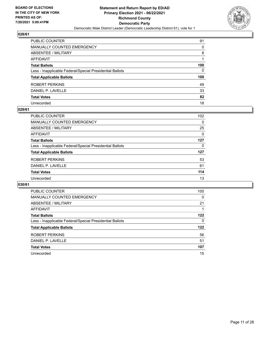

| PUBLIC COUNTER                                           | 91  |
|----------------------------------------------------------|-----|
| MANUALLY COUNTED EMERGENCY                               | 0   |
| ABSENTEE / MILITARY                                      | 8   |
| <b>AFFIDAVIT</b>                                         |     |
| <b>Total Ballots</b>                                     | 100 |
| Less - Inapplicable Federal/Special Presidential Ballots | 0   |
| <b>Total Applicable Ballots</b>                          | 100 |
| ROBERT PERKINS                                           | 49  |
| DANIEL P. LAVELLE                                        | 33  |
| <b>Total Votes</b>                                       | 82  |
| Unrecorded                                               | 18  |

#### **029/61**

| PUBLIC COUNTER                                           | 102      |
|----------------------------------------------------------|----------|
| MANUALLY COUNTED EMERGENCY                               | $\Omega$ |
| ABSENTEE / MILITARY                                      | 25       |
| AFFIDAVIT                                                | 0        |
| <b>Total Ballots</b>                                     | 127      |
| Less - Inapplicable Federal/Special Presidential Ballots | 0        |
| <b>Total Applicable Ballots</b>                          | 127      |
| ROBERT PERKINS                                           | 53       |
| DANIEL P. LAVELLE                                        | 61       |
| <b>Total Votes</b>                                       | 114      |
| Unrecorded                                               | 13       |

| PUBLIC COUNTER                                           | 100 |
|----------------------------------------------------------|-----|
| MANUALLY COUNTED EMERGENCY                               | 0   |
| ABSENTEE / MILITARY                                      | 21  |
| AFFIDAVIT                                                |     |
| <b>Total Ballots</b>                                     | 122 |
| Less - Inapplicable Federal/Special Presidential Ballots | 0   |
| <b>Total Applicable Ballots</b>                          | 122 |
| ROBERT PERKINS                                           | 56  |
| DANIEL P. LAVELLE                                        | 51  |
| <b>Total Votes</b>                                       | 107 |
| Unrecorded                                               | 15  |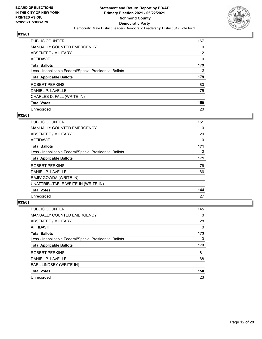

| PUBLIC COUNTER                                           | 167      |
|----------------------------------------------------------|----------|
| MANUALLY COUNTED EMERGENCY                               | 0        |
| ABSENTEE / MILITARY                                      | 12       |
| AFFIDAVIT                                                | $\Omega$ |
| <b>Total Ballots</b>                                     | 179      |
| Less - Inapplicable Federal/Special Presidential Ballots | 0        |
| <b>Total Applicable Ballots</b>                          | 179      |
| ROBERT PERKINS                                           | 83       |
| DANIEL P. LAVELLE                                        | 75       |
| CHARLES D. FALL (WRITE-IN)                               |          |
| <b>Total Votes</b>                                       | 159      |
| Unrecorded                                               | 20       |

#### **032/61**

| PUBLIC COUNTER                                           | 151      |
|----------------------------------------------------------|----------|
| <b>MANUALLY COUNTED EMERGENCY</b>                        | 0        |
| ABSENTEE / MILITARY                                      | 20       |
| AFFIDAVIT                                                | 0        |
| <b>Total Ballots</b>                                     | 171      |
| Less - Inapplicable Federal/Special Presidential Ballots | $\Omega$ |
| <b>Total Applicable Ballots</b>                          | 171      |
| ROBERT PERKINS                                           | 76       |
| DANIEL P. LAVELLE                                        | 66       |
| RAJIV GOWDA (WRITE-IN)                                   |          |
| UNATTRIBUTABLE WRITE-IN (WRITE-IN)                       | 1        |
| <b>Total Votes</b>                                       | 144      |
| Unrecorded                                               | 27       |

| <b>PUBLIC COUNTER</b>                                    | 145      |
|----------------------------------------------------------|----------|
| <b>MANUALLY COUNTED EMERGENCY</b>                        | 0        |
| ABSENTEE / MILITARY                                      | 28       |
| AFFIDAVIT                                                | $\Omega$ |
| <b>Total Ballots</b>                                     | 173      |
| Less - Inapplicable Federal/Special Presidential Ballots | 0        |
| <b>Total Applicable Ballots</b>                          | 173      |
| ROBERT PERKINS                                           | 81       |
| DANIEL P. LAVELLE                                        | 68       |
| EARL LINDSEY (WRITE-IN)                                  |          |
| <b>Total Votes</b>                                       | 150      |
|                                                          |          |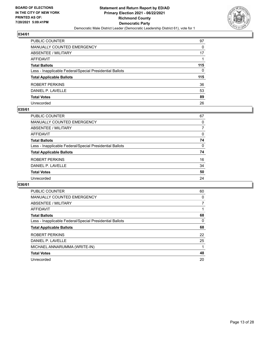

| PUBLIC COUNTER                                           | 97  |
|----------------------------------------------------------|-----|
| MANUALLY COUNTED EMERGENCY                               | 0   |
| ABSENTEE / MILITARY                                      | 17  |
| <b>AFFIDAVIT</b>                                         |     |
| <b>Total Ballots</b>                                     | 115 |
| Less - Inapplicable Federal/Special Presidential Ballots | 0   |
| <b>Total Applicable Ballots</b>                          | 115 |
| ROBERT PERKINS                                           | 36  |
| DANIEL P. LAVELLE                                        | 53  |
| <b>Total Votes</b>                                       | 89  |
| Unrecorded                                               | 26  |

#### **035/61**

| PUBLIC COUNTER                                           | 67       |
|----------------------------------------------------------|----------|
| <b>MANUALLY COUNTED EMERGENCY</b>                        | 0        |
| ABSENTEE / MILITARY                                      |          |
| AFFIDAVIT                                                | $\Omega$ |
| <b>Total Ballots</b>                                     | 74       |
| Less - Inapplicable Federal/Special Presidential Ballots | 0        |
| <b>Total Applicable Ballots</b>                          | 74       |
| ROBERT PERKINS                                           | 16       |
| DANIEL P. LAVELLE                                        | 34       |
| <b>Total Votes</b>                                       | 50       |
| Unrecorded                                               | 24       |

| <b>PUBLIC COUNTER</b>                                    | 60 |
|----------------------------------------------------------|----|
| <b>MANUALLY COUNTED EMERGENCY</b>                        | 0  |
| ABSENTEE / MILITARY                                      | 7  |
| <b>AFFIDAVIT</b>                                         |    |
| <b>Total Ballots</b>                                     | 68 |
| Less - Inapplicable Federal/Special Presidential Ballots | 0  |
| <b>Total Applicable Ballots</b>                          | 68 |
| ROBERT PERKINS                                           | 22 |
| DANIEL P. LAVELLE                                        | 25 |
| MICHAEL ANNARUMMA (WRITE-IN)                             |    |
|                                                          |    |
| <b>Total Votes</b>                                       | 48 |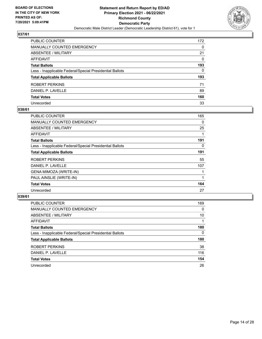

| PUBLIC COUNTER                                           | 172      |
|----------------------------------------------------------|----------|
| MANUALLY COUNTED EMERGENCY                               | 0        |
| ABSENTEE / MILITARY                                      | 21       |
| <b>AFFIDAVIT</b>                                         | $\Omega$ |
| <b>Total Ballots</b>                                     | 193      |
| Less - Inapplicable Federal/Special Presidential Ballots | 0        |
| <b>Total Applicable Ballots</b>                          | 193      |
| ROBERT PERKINS                                           | 71       |
| DANIEL P. LAVELLE                                        | 89       |
| <b>Total Votes</b>                                       | 160      |
| Unrecorded                                               | 33       |

#### **038/61**

| PUBLIC COUNTER                                           | 165 |
|----------------------------------------------------------|-----|
| <b>MANUALLY COUNTED EMERGENCY</b>                        | 0   |
| ABSENTEE / MILITARY                                      | 25  |
| <b>AFFIDAVIT</b>                                         |     |
| <b>Total Ballots</b>                                     | 191 |
| Less - Inapplicable Federal/Special Presidential Ballots | 0   |
| <b>Total Applicable Ballots</b>                          | 191 |
| ROBERT PERKINS                                           | 55  |
| DANIEL P. LAVELLE                                        | 107 |
| GENA MIMOZA (WRITE-IN)                                   |     |
| PAUL AINSLIE (WRITE-IN)                                  |     |
| <b>Total Votes</b>                                       | 164 |
| Unrecorded                                               | 27  |

| <b>PUBLIC COUNTER</b>                                    | 169      |
|----------------------------------------------------------|----------|
| MANUALLY COUNTED EMERGENCY                               | $\Omega$ |
| ABSENTEE / MILITARY                                      | 10       |
| AFFIDAVIT                                                |          |
| <b>Total Ballots</b>                                     | 180      |
| Less - Inapplicable Federal/Special Presidential Ballots | 0        |
| <b>Total Applicable Ballots</b>                          | 180      |
| ROBERT PERKINS                                           | 38       |
| DANIEL P. LAVELLE                                        | 116      |
| <b>Total Votes</b>                                       | 154      |
| Unrecorded                                               | 26       |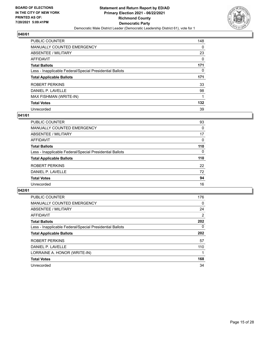

| <b>PUBLIC COUNTER</b>                                    | 148      |
|----------------------------------------------------------|----------|
| <b>MANUALLY COUNTED EMERGENCY</b>                        | $\Omega$ |
| ABSENTEE / MILITARY                                      | 23       |
| AFFIDAVIT                                                | $\Omega$ |
| <b>Total Ballots</b>                                     | 171      |
| Less - Inapplicable Federal/Special Presidential Ballots | 0        |
| <b>Total Applicable Ballots</b>                          | 171      |
| ROBERT PERKINS                                           | 33       |
| DANIEL P. LAVELLE                                        | 98       |
| MAX FISHMAN (WRITE-IN)                                   |          |
| <b>Total Votes</b>                                       | 132      |
| Unrecorded                                               | 39       |

#### **041/61**

| PUBLIC COUNTER                                           | 93       |
|----------------------------------------------------------|----------|
| MANUALLY COUNTED EMERGENCY                               | $\Omega$ |
| ABSENTEE / MILITARY                                      | 17       |
| AFFIDAVIT                                                | $\Omega$ |
| <b>Total Ballots</b>                                     | 110      |
| Less - Inapplicable Federal/Special Presidential Ballots | 0        |
| <b>Total Applicable Ballots</b>                          | 110      |
| ROBERT PERKINS                                           | 22       |
| DANIEL P. LAVELLE                                        | 72       |
| <b>Total Votes</b>                                       | 94       |
| Unrecorded                                               | 16       |

| <b>PUBLIC COUNTER</b>                                    | 176      |
|----------------------------------------------------------|----------|
| <b>MANUALLY COUNTED EMERGENCY</b>                        | $\Omega$ |
| ABSENTEE / MILITARY                                      | 24       |
| AFFIDAVIT                                                | 2        |
| <b>Total Ballots</b>                                     | 202      |
| Less - Inapplicable Federal/Special Presidential Ballots | $\Omega$ |
| <b>Total Applicable Ballots</b>                          | 202      |
| ROBERT PERKINS                                           | 57       |
| DANIEL P. LAVELLE                                        | 110      |
| LORRAINE A. HONOR (WRITE-IN)                             |          |
| <b>Total Votes</b>                                       | 168      |
| Unrecorded                                               | 34       |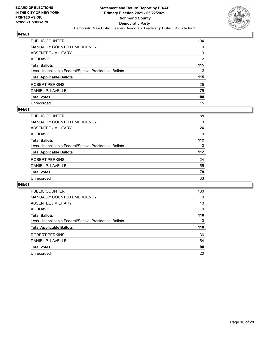

| PUBLIC COUNTER                                           | 104           |
|----------------------------------------------------------|---------------|
| MANUALLY COUNTED EMERGENCY                               | 0             |
| ABSENTEE / MILITARY                                      | 9             |
| <b>AFFIDAVIT</b>                                         | $\mathcal{P}$ |
| <b>Total Ballots</b>                                     | 115           |
| Less - Inapplicable Federal/Special Presidential Ballots | 0             |
| <b>Total Applicable Ballots</b>                          | 115           |
| ROBERT PERKINS                                           | 25            |
| DANIEL P. LAVELLE                                        | 75            |
| <b>Total Votes</b>                                       | 100           |
| Unrecorded                                               | 15            |

#### **044/61**

| PUBLIC COUNTER                                           | 88       |
|----------------------------------------------------------|----------|
| <b>MANUALLY COUNTED EMERGENCY</b>                        | $\Omega$ |
| ABSENTEE / MILITARY                                      | 24       |
| AFFIDAVIT                                                | $\Omega$ |
| <b>Total Ballots</b>                                     | $112$    |
| Less - Inapplicable Federal/Special Presidential Ballots | $\Omega$ |
| <b>Total Applicable Ballots</b>                          | $112$    |
| ROBERT PERKINS                                           | 24       |
| DANIEL P. LAVELLE                                        | 55       |
| <b>Total Votes</b>                                       | 79       |
| Unrecorded                                               | 33       |

| <b>PUBLIC COUNTER</b>                                    | 100      |
|----------------------------------------------------------|----------|
| <b>MANUALLY COUNTED EMERGENCY</b>                        | 0        |
| ABSENTEE / MILITARY                                      | 10       |
| <b>AFFIDAVIT</b>                                         | $\Omega$ |
| <b>Total Ballots</b>                                     | 110      |
| Less - Inapplicable Federal/Special Presidential Ballots | 0        |
| <b>Total Applicable Ballots</b>                          | 110      |
| ROBERT PERKINS                                           | 36       |
| DANIEL P. LAVELLE                                        | 54       |
| <b>Total Votes</b>                                       | 90       |
| Unrecorded                                               | 20       |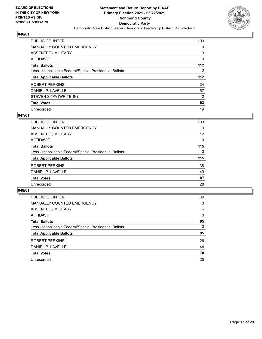

| <b>PUBLIC COUNTER</b>                                    | 103      |
|----------------------------------------------------------|----------|
| <b>MANUALLY COUNTED EMERGENCY</b>                        | 0        |
| ABSENTEE / MILITARY                                      | 9        |
| AFFIDAVIT                                                | 0        |
| <b>Total Ballots</b>                                     | $112$    |
| Less - Inapplicable Federal/Special Presidential Ballots | $\Omega$ |
| <b>Total Applicable Ballots</b>                          | 112      |
| ROBERT PERKINS                                           | 34       |
| DANIEL P. LAVELLE                                        | 57       |
| STEVEN SYPA (WRITE-IN)                                   | 2        |
| <b>Total Votes</b>                                       | 93       |
|                                                          |          |

#### **047/61**

| PUBLIC COUNTER                                           | 103      |
|----------------------------------------------------------|----------|
| <b>MANUALLY COUNTED EMERGENCY</b>                        | 0        |
| ABSENTEE / MILITARY                                      | 12       |
| AFFIDAVIT                                                | $\Omega$ |
| <b>Total Ballots</b>                                     | 115      |
| Less - Inapplicable Federal/Special Presidential Ballots | $\Omega$ |
| <b>Total Applicable Ballots</b>                          | 115      |
| ROBERT PERKINS                                           | 38       |
| DANIEL P. LAVELLE                                        | 49       |
| <b>Total Votes</b>                                       | 87       |
| Unrecorded                                               | 28       |

| <b>PUBLIC COUNTER</b>                                    | 89       |
|----------------------------------------------------------|----------|
| <b>MANUALLY COUNTED EMERGENCY</b>                        | 0        |
| ABSENTEE / MILITARY                                      | 6        |
| AFFIDAVIT                                                | $\Omega$ |
| <b>Total Ballots</b>                                     | 95       |
| Less - Inapplicable Federal/Special Presidential Ballots | $\Omega$ |
| <b>Total Applicable Ballots</b>                          | 95       |
| ROBERT PERKINS                                           | 26       |
| DANIEL P. LAVELLE                                        | 44       |
| <b>Total Votes</b>                                       | 70       |
| Unrecorded                                               | 25       |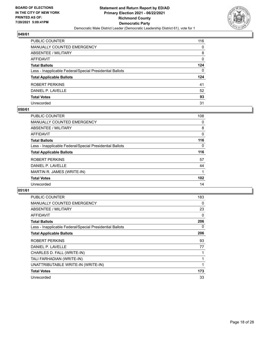

| PUBLIC COUNTER                                           | 116 |
|----------------------------------------------------------|-----|
| <b>MANUALLY COUNTED EMERGENCY</b>                        | 0   |
| <b>ABSENTEE / MILITARY</b>                               | 8   |
| AFFIDAVIT                                                | 0   |
| <b>Total Ballots</b>                                     | 124 |
| Less - Inapplicable Federal/Special Presidential Ballots | 0   |
| <b>Total Applicable Ballots</b>                          | 124 |
| ROBERT PERKINS                                           | 41  |
| DANIEL P. LAVELLE                                        | 52  |
| <b>Total Votes</b>                                       | 93  |
| Unrecorded                                               | 31  |

#### **050/61**

| <b>PUBLIC COUNTER</b>                                    | 108      |
|----------------------------------------------------------|----------|
| <b>MANUALLY COUNTED EMERGENCY</b>                        | 0        |
| ABSENTEE / MILITARY                                      | 8        |
| AFFIDAVIT                                                | 0        |
| <b>Total Ballots</b>                                     | 116      |
| Less - Inapplicable Federal/Special Presidential Ballots | $\Omega$ |
| <b>Total Applicable Ballots</b>                          | 116      |
| ROBERT PERKINS                                           | 57       |
| DANIEL P. LAVELLE                                        | 44       |
| MARTIN R. JAMES (WRITE-IN)                               |          |
| <b>Total Votes</b>                                       | 102      |
| Unrecorded                                               | 14       |

| <b>PUBLIC COUNTER</b>                                    | 183 |
|----------------------------------------------------------|-----|
| <b>MANUALLY COUNTED EMERGENCY</b>                        | 0   |
| <b>ABSENTEE / MILITARY</b>                               | 23  |
| AFFIDAVIT                                                | 0   |
| <b>Total Ballots</b>                                     | 206 |
| Less - Inapplicable Federal/Special Presidential Ballots | 0   |
| <b>Total Applicable Ballots</b>                          | 206 |
| ROBERT PERKINS                                           | 93  |
| DANIEL P. LAVELLE                                        | 77  |
|                                                          |     |
| CHARLES D. FALL (WRITE-IN)                               |     |
| TALI FARHADIAN (WRITE-IN)                                |     |
| UNATTRIBUTABLE WRITE-IN (WRITE-IN)                       |     |
| <b>Total Votes</b>                                       | 173 |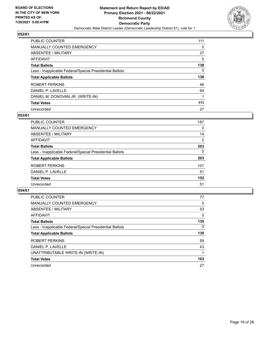

| PUBLIC COUNTER                                           | 111      |
|----------------------------------------------------------|----------|
| <b>MANUALLY COUNTED EMERGENCY</b>                        | $\Omega$ |
| ABSENTEE / MILITARY                                      | 27       |
| AFFIDAVIT                                                | $\Omega$ |
| <b>Total Ballots</b>                                     | 138      |
| Less - Inapplicable Federal/Special Presidential Ballots | 0        |
| <b>Total Applicable Ballots</b>                          | 138      |
| ROBERT PERKINS                                           | 46       |
| DANIEL P. LAVELLE                                        | 64       |
| DANIEL M. DONOVAN JR. (WRITE-IN)                         |          |
| <b>Total Votes</b>                                       | 111      |
| Unrecorded                                               | 27       |

#### **053/61**

| <b>PUBLIC COUNTER</b>                                    | 187            |
|----------------------------------------------------------|----------------|
| <b>MANUALLY COUNTED EMERGENCY</b>                        | 0              |
| ABSENTEE / MILITARY                                      | 14             |
| AFFIDAVIT                                                | $\overline{2}$ |
| <b>Total Ballots</b>                                     | 203            |
| Less - Inapplicable Federal/Special Presidential Ballots | $\Omega$       |
| <b>Total Applicable Ballots</b>                          | 203            |
| ROBERT PERKINS                                           | 101            |
| DANIEL P. LAVELLE                                        | 51             |
| <b>Total Votes</b>                                       | 152            |
| Unrecorded                                               | 51             |

| 77       |
|----------|
| 0        |
| 53       |
| 0        |
| 130      |
| $\Omega$ |
| 130      |
| 59       |
| 43       |
|          |
| 103      |
| 27       |
|          |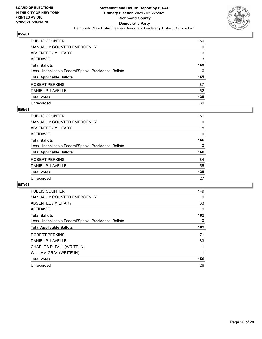

| PUBLIC COUNTER                                           | 150 |
|----------------------------------------------------------|-----|
| <b>MANUALLY COUNTED EMERGENCY</b>                        | 0   |
| <b>ABSENTEE / MILITARY</b>                               | 16  |
| <b>AFFIDAVIT</b>                                         | 3   |
| <b>Total Ballots</b>                                     | 169 |
| Less - Inapplicable Federal/Special Presidential Ballots | 0   |
| <b>Total Applicable Ballots</b>                          | 169 |
| ROBERT PERKINS                                           | 87  |
| DANIEL P. LAVELLE                                        | 52  |
| <b>Total Votes</b>                                       | 139 |
| Unrecorded                                               | 30  |

#### **056/61**

| PUBLIC COUNTER                                           | 151      |
|----------------------------------------------------------|----------|
| <b>MANUALLY COUNTED EMERGENCY</b>                        | 0        |
| ABSENTEE / MILITARY                                      | 15       |
| AFFIDAVIT                                                | $\Omega$ |
| <b>Total Ballots</b>                                     | 166      |
| Less - Inapplicable Federal/Special Presidential Ballots | 0        |
| <b>Total Applicable Ballots</b>                          | 166      |
| ROBERT PERKINS                                           | 84       |
| DANIEL P. LAVELLE                                        | 55       |
| <b>Total Votes</b>                                       | 139      |
| Unrecorded                                               | 27       |

| <b>PUBLIC COUNTER</b>                                    | 149      |
|----------------------------------------------------------|----------|
| MANUALLY COUNTED EMERGENCY                               | $\Omega$ |
| ABSENTEE / MILITARY                                      | 33       |
| AFFIDAVIT                                                | 0        |
| <b>Total Ballots</b>                                     | 182      |
| Less - Inapplicable Federal/Special Presidential Ballots | 0        |
| <b>Total Applicable Ballots</b>                          | 182      |
| ROBERT PERKINS                                           | 71       |
| DANIEL P. LAVELLE                                        | 83       |
| CHARLES D. FALL (WRITE-IN)                               |          |
| WILLIAM GRAY (WRITE-IN)                                  | 1        |
| <b>Total Votes</b>                                       | 156      |
| Unrecorded                                               | 26       |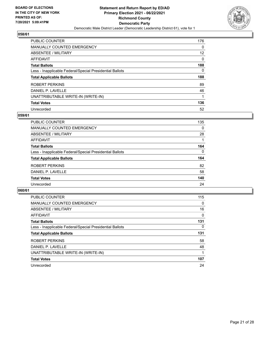

| PUBLIC COUNTER                                           | 176      |
|----------------------------------------------------------|----------|
| MANUALLY COUNTED EMERGENCY                               | 0        |
| ABSENTEE / MILITARY                                      | 12       |
| AFFIDAVIT                                                | $\Omega$ |
| <b>Total Ballots</b>                                     | 188      |
| Less - Inapplicable Federal/Special Presidential Ballots | 0        |
| <b>Total Applicable Ballots</b>                          | 188      |
| ROBERT PERKINS                                           | 89       |
| DANIEL P. LAVELLE                                        | 46       |
|                                                          |          |
| UNATTRIBUTABLE WRITE-IN (WRITE-IN)                       |          |
| <b>Total Votes</b>                                       | 136      |

#### **059/61**

| <b>PUBLIC COUNTER</b>                                    | 135          |
|----------------------------------------------------------|--------------|
| MANUALLY COUNTED EMERGENCY                               | 0            |
| <b>ABSENTEE / MILITARY</b>                               | 28           |
| AFFIDAVIT                                                |              |
| <b>Total Ballots</b>                                     | 164          |
| Less - Inapplicable Federal/Special Presidential Ballots | $\mathbf{0}$ |
| <b>Total Applicable Ballots</b>                          | 164          |
| ROBERT PERKINS                                           | 82           |
| DANIEL P. LAVELLE                                        | 58           |
| <b>Total Votes</b>                                       | 140          |
| Unrecorded                                               | 24           |

| <b>PUBLIC COUNTER</b>                                    | 115      |
|----------------------------------------------------------|----------|
| <b>MANUALLY COUNTED EMERGENCY</b>                        | 0        |
| ABSENTEE / MILITARY                                      | 16       |
| AFFIDAVIT                                                | $\Omega$ |
| <b>Total Ballots</b>                                     | 131      |
| Less - Inapplicable Federal/Special Presidential Ballots | $\Omega$ |
| <b>Total Applicable Ballots</b>                          | 131      |
| ROBERT PERKINS                                           | 58       |
| DANIEL P. LAVELLE                                        | 48       |
| UNATTRIBUTABLE WRITE-IN (WRITE-IN)                       |          |
| <b>Total Votes</b>                                       | 107      |
| Unrecorded                                               | 24       |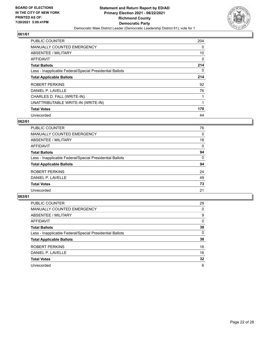

| <b>PUBLIC COUNTER</b>                                    | 204      |
|----------------------------------------------------------|----------|
| MANUALLY COUNTED EMERGENCY                               | $\Omega$ |
| ABSENTEE / MILITARY                                      | 10       |
| <b>AFFIDAVIT</b>                                         | 0        |
| <b>Total Ballots</b>                                     | 214      |
| Less - Inapplicable Federal/Special Presidential Ballots | 0        |
| <b>Total Applicable Ballots</b>                          | 214      |
| ROBERT PERKINS                                           | 92       |
| DANIEL P. LAVELLE                                        | 76       |
| CHARLES D. FALL (WRITE-IN)                               |          |
| UNATTRIBUTABLE WRITE-IN (WRITE-IN)                       |          |
| <b>Total Votes</b>                                       | 170      |
| Unrecorded                                               | 44       |

## **062/61**

| <b>PUBLIC COUNTER</b>                                    | 76       |
|----------------------------------------------------------|----------|
| MANUALLY COUNTED EMERGENCY                               | $\Omega$ |
| ABSENTEE / MILITARY                                      | 18       |
| <b>AFFIDAVIT</b>                                         | $\Omega$ |
| <b>Total Ballots</b>                                     | 94       |
| Less - Inapplicable Federal/Special Presidential Ballots | $\Omega$ |
| <b>Total Applicable Ballots</b>                          | 94       |
| ROBERT PERKINS                                           | 24       |
| DANIEL P. LAVELLE                                        | 49       |
| <b>Total Votes</b>                                       | 73       |
| Unrecorded                                               | 21       |

| PUBLIC COUNTER                                           | 29       |
|----------------------------------------------------------|----------|
| <b>MANUALLY COUNTED EMERGENCY</b>                        | $\Omega$ |
| ABSENTEE / MILITARY                                      | 9        |
| AFFIDAVIT                                                | $\Omega$ |
| <b>Total Ballots</b>                                     | 38       |
| Less - Inapplicable Federal/Special Presidential Ballots | 0        |
| <b>Total Applicable Ballots</b>                          | 38       |
| ROBERT PERKINS                                           | 16       |
| DANIEL P. LAVELLE                                        | 16       |
| <b>Total Votes</b>                                       | 32       |
| Unrecorded                                               | 6        |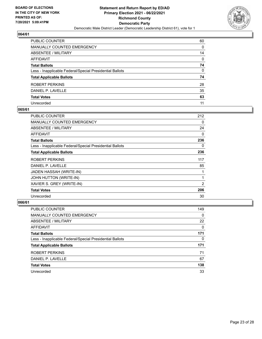

| PUBLIC COUNTER                                           | 60 |
|----------------------------------------------------------|----|
| MANUALLY COUNTED EMERGENCY                               | 0  |
| ABSENTEE / MILITARY                                      | 14 |
| AFFIDAVIT                                                | 0  |
| <b>Total Ballots</b>                                     | 74 |
| Less - Inapplicable Federal/Special Presidential Ballots | 0  |
| <b>Total Applicable Ballots</b>                          | 74 |
| ROBERT PERKINS                                           | 28 |
| DANIEL P. LAVELLE                                        | 35 |
| <b>Total Votes</b>                                       | 63 |
| Unrecorded                                               | 11 |

## **065/61**

| PUBLIC COUNTER                                           | 212 |
|----------------------------------------------------------|-----|
| <b>MANUALLY COUNTED EMERGENCY</b>                        | 0   |
| ABSENTEE / MILITARY                                      | 24  |
| AFFIDAVIT                                                | 0   |
| <b>Total Ballots</b>                                     | 236 |
| Less - Inapplicable Federal/Special Presidential Ballots | 0   |
| <b>Total Applicable Ballots</b>                          | 236 |
| ROBERT PERKINS                                           | 117 |
| DANIEL P. LAVELLE                                        | 85  |
| JADEN HASSAH (WRITE-IN)                                  |     |
| JOHN HUTTON (WRITE-IN)                                   | 1   |
| XAVIER S. GREY (WRITE-IN)                                | 2   |
| <b>Total Votes</b>                                       | 206 |
| Unrecorded                                               | 30  |

| PUBLIC COUNTER                                           | 149      |
|----------------------------------------------------------|----------|
| MANUALLY COUNTED EMERGENCY                               | $\Omega$ |
| ABSENTEE / MILITARY                                      | 22       |
| AFFIDAVIT                                                | $\Omega$ |
| <b>Total Ballots</b>                                     | 171      |
| Less - Inapplicable Federal/Special Presidential Ballots | 0        |
| <b>Total Applicable Ballots</b>                          | 171      |
| ROBERT PERKINS                                           | 71       |
| DANIEL P. LAVELLE                                        | 67       |
| <b>Total Votes</b>                                       | 138      |
| Unrecorded                                               | 33       |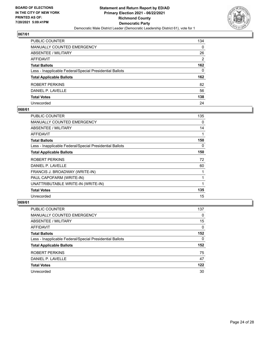

| PUBLIC COUNTER                                           | 134           |
|----------------------------------------------------------|---------------|
| MANUALLY COUNTED EMERGENCY                               | 0             |
| ABSENTEE / MILITARY                                      | 26            |
| <b>AFFIDAVIT</b>                                         | $\mathcal{P}$ |
| <b>Total Ballots</b>                                     | 162           |
| Less - Inapplicable Federal/Special Presidential Ballots | 0             |
| <b>Total Applicable Ballots</b>                          | 162           |
| ROBERT PERKINS                                           | 82            |
| DANIEL P. LAVELLE                                        | 56            |
| <b>Total Votes</b>                                       | 138           |
| Unrecorded                                               | 24            |

#### **068/61**

| PUBLIC COUNTER                                           | 135 |
|----------------------------------------------------------|-----|
| MANUALLY COUNTED EMERGENCY                               | 0   |
| ABSENTEE / MILITARY                                      | 14  |
| <b>AFFIDAVIT</b>                                         |     |
| <b>Total Ballots</b>                                     | 150 |
| Less - Inapplicable Federal/Special Presidential Ballots | 0   |
| <b>Total Applicable Ballots</b>                          | 150 |
| <b>ROBERT PERKINS</b>                                    | 72  |
| DANIEL P. LAVELLE                                        | 60  |
| FRANCIS J. BROADWAY (WRITE-IN)                           |     |
| PAUL CAPOFARM (WRITE-IN)                                 |     |
| UNATTRIBUTABLE WRITE-IN (WRITE-IN)                       |     |
| <b>Total Votes</b>                                       | 135 |
| Unrecorded                                               | 15  |

| <b>PUBLIC COUNTER</b>                                    | 137      |
|----------------------------------------------------------|----------|
| MANUALLY COUNTED EMERGENCY                               | 0        |
| ABSENTEE / MILITARY                                      | 15       |
| AFFIDAVIT                                                | $\Omega$ |
| <b>Total Ballots</b>                                     | 152      |
| Less - Inapplicable Federal/Special Presidential Ballots | 0        |
| <b>Total Applicable Ballots</b>                          | 152      |
| ROBERT PERKINS                                           | 75       |
| DANIEL P. LAVELLE                                        | 47       |
| <b>Total Votes</b>                                       | 122      |
| Unrecorded                                               | 30       |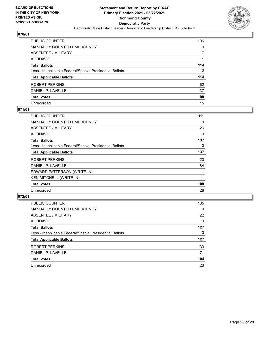

| PUBLIC COUNTER                                           | 106 |
|----------------------------------------------------------|-----|
| MANUALLY COUNTED EMERGENCY                               | 0   |
| <b>ABSENTEE / MILITARY</b>                               | 7   |
| AFFIDAVIT                                                |     |
| Total Ballots                                            | 114 |
| Less - Inapplicable Federal/Special Presidential Ballots | 0   |
| <b>Total Applicable Ballots</b>                          | 114 |
| ROBERT PERKINS                                           | 62  |
| DANIEL P. LAVELLE                                        | 37  |
| <b>Total Votes</b>                                       | 99  |
| Unrecorded                                               | 15  |

## **071/61**

| <b>PUBLIC COUNTER</b>                                    | 111 |
|----------------------------------------------------------|-----|
| <b>MANUALLY COUNTED EMERGENCY</b>                        | 0   |
| ABSENTEE / MILITARY                                      | 26  |
| AFFIDAVIT                                                | 0   |
| <b>Total Ballots</b>                                     | 137 |
| Less - Inapplicable Federal/Special Presidential Ballots | 0   |
| <b>Total Applicable Ballots</b>                          | 137 |
| ROBERT PERKINS                                           | 23  |
| DANIEL P. LAVELLE                                        | 84  |
| EDWARD PATTERSON (WRITE-IN)                              |     |
| <b>KEN MITCHELL (WRITE-IN)</b>                           |     |
| <b>Total Votes</b>                                       | 109 |
| Unrecorded                                               | 28  |

| <b>PUBLIC COUNTER</b>                                    | 105      |
|----------------------------------------------------------|----------|
| <b>MANUALLY COUNTED EMERGENCY</b>                        | $\Omega$ |
| ABSENTEE / MILITARY                                      | 22       |
| AFFIDAVIT                                                | $\Omega$ |
| <b>Total Ballots</b>                                     | 127      |
| Less - Inapplicable Federal/Special Presidential Ballots | 0        |
| <b>Total Applicable Ballots</b>                          | 127      |
| ROBERT PERKINS                                           | 33       |
| DANIEL P. LAVELLE                                        | 71       |
| <b>Total Votes</b>                                       | 104      |
| Unrecorded                                               | 23       |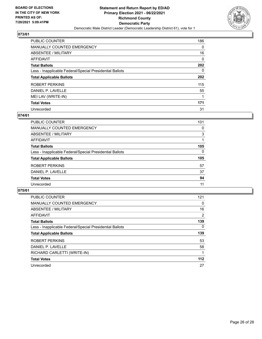

| <b>PUBLIC COUNTER</b>                                    | 186      |
|----------------------------------------------------------|----------|
| <b>MANUALLY COUNTED EMERGENCY</b>                        | 0        |
| ABSENTEE / MILITARY                                      | 16       |
| AFFIDAVIT                                                | $\Omega$ |
| <b>Total Ballots</b>                                     | 202      |
| Less - Inapplicable Federal/Special Presidential Ballots | $\Omega$ |
| <b>Total Applicable Ballots</b>                          | 202      |
| ROBERT PERKINS                                           | 115      |
| DANIEL P. LAVELLE                                        | 55       |
| MEI LAV (WRITE-IN)                                       |          |
| <b>Total Votes</b>                                       | 171      |
| Unrecorded                                               | 31       |

#### **074/61**

| <b>PUBLIC COUNTER</b>                                    | 101      |
|----------------------------------------------------------|----------|
| MANUALLY COUNTED EMERGENCY                               | 0        |
| ABSENTEE / MILITARY                                      | 3        |
| AFFIDAVIT                                                |          |
| <b>Total Ballots</b>                                     | 105      |
| Less - Inapplicable Federal/Special Presidential Ballots | $\Omega$ |
| <b>Total Applicable Ballots</b>                          | 105      |
| ROBERT PERKINS                                           | 57       |
| DANIEL P. LAVELLE                                        | 37       |
| <b>Total Votes</b>                                       | 94       |
| Unrecorded                                               | 11       |

| <b>PUBLIC COUNTER</b>                                    | 121            |
|----------------------------------------------------------|----------------|
| <b>MANUALLY COUNTED EMERGENCY</b>                        | 0              |
| ABSENTEE / MILITARY                                      | 16             |
| AFFIDAVIT                                                | $\overline{2}$ |
| <b>Total Ballots</b>                                     | 139            |
| Less - Inapplicable Federal/Special Presidential Ballots | $\Omega$       |
| <b>Total Applicable Ballots</b>                          | 139            |
| ROBERT PERKINS                                           | 53             |
| DANIEL P. LAVELLE                                        | 58             |
| RICHARD CARLETTI (WRITE-IN)                              |                |
| <b>Total Votes</b>                                       | $112$          |
| Unrecorded                                               | 27             |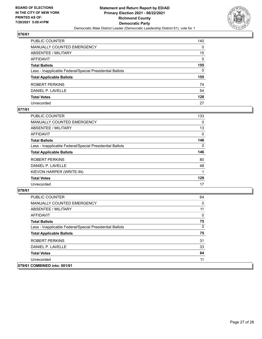

| PUBLIC COUNTER                                           | 140      |
|----------------------------------------------------------|----------|
| MANUALLY COUNTED EMERGENCY                               | $\Omega$ |
| <b>ABSENTEE / MILITARY</b>                               | 15       |
| <b>AFFIDAVIT</b>                                         | $\Omega$ |
| <b>Total Ballots</b>                                     | 155      |
| Less - Inapplicable Federal/Special Presidential Ballots | 0        |
| <b>Total Applicable Ballots</b>                          | 155      |
| ROBERT PERKINS                                           | 74       |
| DANIEL P. LAVELLE                                        | 54       |
| <b>Total Votes</b>                                       | 128      |
| Unrecorded                                               | 27       |

## **077/61**

| <b>PUBLIC COUNTER</b>                                    | 133      |
|----------------------------------------------------------|----------|
| <b>MANUALLY COUNTED EMERGENCY</b>                        | 0        |
| ABSENTEE / MILITARY                                      | 13       |
| AFFIDAVIT                                                | $\Omega$ |
| <b>Total Ballots</b>                                     | 146      |
| Less - Inapplicable Federal/Special Presidential Ballots | 0        |
| <b>Total Applicable Ballots</b>                          | 146      |
| ROBERT PERKINS                                           | 80       |
| DANIEL P. LAVELLE                                        | 48       |
| KIEVON HARPER (WRITE-IN)                                 |          |
| <b>Total Votes</b>                                       | 129      |
| Unrecorded                                               | 17       |

| <b>PUBLIC COUNTER</b>                                    | 64           |
|----------------------------------------------------------|--------------|
| MANUALLY COUNTED EMERGENCY                               | 0            |
| ABSENTEE / MILITARY                                      | 11           |
| AFFIDAVIT                                                | $\mathbf{0}$ |
| <b>Total Ballots</b>                                     | 75           |
| Less - Inapplicable Federal/Special Presidential Ballots | $\mathbf{0}$ |
| <b>Total Applicable Ballots</b>                          | 75           |
| ROBERT PERKINS                                           | 31           |
| DANIEL P. LAVELLE                                        | 33           |
| <b>Total Votes</b>                                       | 64           |
| Unrecorded                                               | 11           |
| 079/61 COMBINED into: 001/61                             |              |